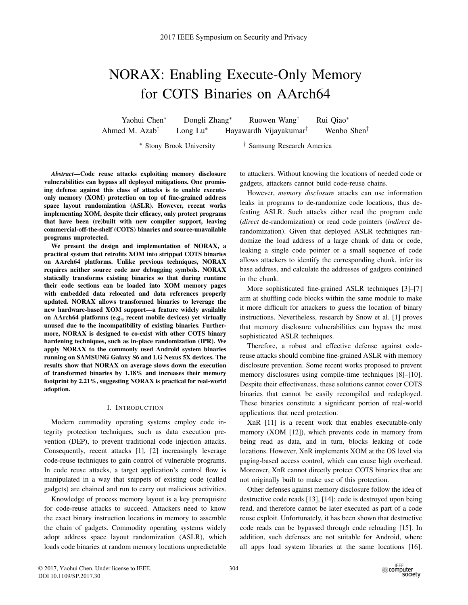# NORAX: Enabling Execute-Only Memory for COTS Binaries on AArch64

Yaohui Chen∗ Dongli Zhang∗ Ruowen Wang† Rui Qiao∗ Ahmed M. Azab† Long Lu∗ Hayawardh Vijayakumar† Wenbo Shen†

∗ Stony Brook University † Samsung Research America

*Abstract*—Code reuse attacks exploiting memory disclosure vulnerabilities can bypass all deployed mitigations. One promising defense against this class of attacks is to enable executeonly memory (XOM) protection on top of fine-grained address space layout randomization (ASLR). However, recent works implementing XOM, despite their efficacy, only protect programs that have been (re)built with new compiler support, leaving commercial-off-the-shelf (COTS) binaries and source-unavailable programs unprotected.

We present the design and implementation of NORAX, a practical system that retrofits XOM into stripped COTS binaries on AArch64 platforms. Unlike previous techniques, NORAX requires neither source code nor debugging symbols. NORAX statically transforms existing binaries so that during runtime their code sections can be loaded into XOM memory pages with embedded data relocated and data references properly updated. NORAX allows transformed binaries to leverage the new hardware-based XOM support—a feature widely available on AArch64 platforms (e.g., recent mobile devices) yet virtually unused due to the incompatibility of existing binaries. Furthermore, NORAX is designed to co-exist with other COTS binary hardening techniques, such as in-place randomization (IPR). We apply NORAX to the commonly used Android system binaries running on SAMSUNG Galaxy S6 and LG Nexus 5X devices. The results show that NORAX on average slows down the execution of transformed binaries by 1.18% and increases their memory footprint by 2.21%, suggesting NORAX is practical for real-world adoption.

#### I. INTRODUCTION

Modern commodity operating systems employ code integrity protection techniques, such as data execution prevention (DEP), to prevent traditional code injection attacks. Consequently, recent attacks [1], [2] increasingly leverage code-reuse techniques to gain control of vulnerable programs. In code reuse attacks, a target application's control flow is manipulated in a way that snippets of existing code (called gadgets) are chained and run to carry out malicious activities.

Knowledge of process memory layout is a key prerequisite for code-reuse attacks to succeed. Attackers need to know the exact binary instruction locations in memory to assemble the chain of gadgets. Commodity operating systems widely adopt address space layout randomization (ASLR), which loads code binaries at random memory locations unpredictable to attackers. Without knowing the locations of needed code or gadgets, attackers cannot build code-reuse chains.

However, *memory disclosure* attacks can use information leaks in programs to de-randomize code locations, thus defeating ASLR. Such attacks either read the program code (*direct* de-randomization) or read code pointers (*indirect* derandomization). Given that deployed ASLR techniques randomize the load address of a large chunk of data or code, leaking a single code pointer or a small sequence of code allows attackers to identify the corresponding chunk, infer its base address, and calculate the addresses of gadgets contained in the chunk.

More sophisticated fine-grained ASLR techniques [3]–[7] aim at shuffling code blocks within the same module to make it more difficult for attackers to guess the location of binary instructions. Nevertheless, research by Snow et al. [1] proves that memory disclosure vulnerabilities can bypass the most sophisticated ASLR techniques.

Therefore, a robust and effective defense against codereuse attacks should combine fine-grained ASLR with memory disclosure prevention. Some recent works proposed to prevent memory disclosures using compile-time techniques [8]–[10]. Despite their effectiveness, these solutions cannot cover COTS binaries that cannot be easily recompiled and redeployed. These binaries constitute a significant portion of real-world applications that need protection.

XnR [11] is a recent work that enables executable-only memory (XOM [12]), which prevents code in memory from being read as data, and in turn, blocks leaking of code locations. However, XnR implements XOM at the OS level via paging-based access control, which can cause high overhead. Moreover, XnR cannot directly protect COTS binaries that are not originally built to make use of this protection.

Other defenses against memory disclosure follow the idea of destructive code reads [13], [14]: code is destroyed upon being read, and therefore cannot be later executed as part of a code reuse exploit. Unfortunately, it has been shown that destructive code reads can be bypassed through code reloading [15]. In addition, such defenses are not suitable for Android, where all apps load system libraries at the same locations [16].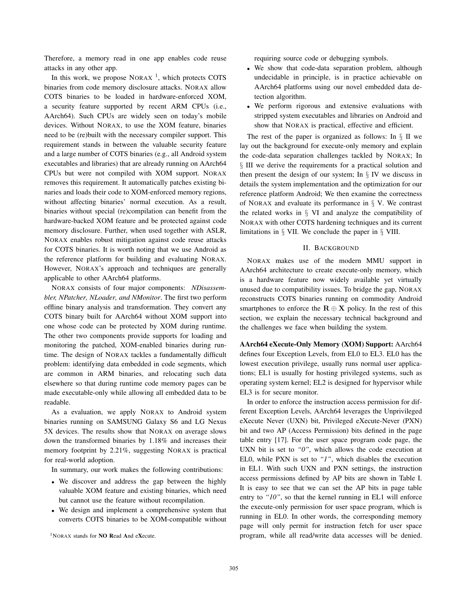Therefore, a memory read in one app enables code reuse attacks in any other app.

In this work, we propose NORAX  $<sup>1</sup>$ , which protects COTS</sup> binaries from code memory disclosure attacks. NORAX allow COTS binaries to be loaded in hardware-enforced XOM, a security feature supported by recent ARM CPUs (i.e., AArch64). Such CPUs are widely seen on today's mobile devices. Without NORAX, to use the XOM feature, binaries need to be (re)built with the necessary compiler support. This requirement stands in between the valuable security feature and a large number of COTS binaries (e.g., all Android system executables and libraries) that are already running on AArch64 CPUs but were not compiled with XOM support. NORAX removes this requirement. It automatically patches existing binaries and loads their code to XOM-enforced memory regions, without affecting binaries' normal execution. As a result, binaries without special (re)compilation can benefit from the hardware-backed XOM feature and be protected against code memory disclosure. Further, when used together with ASLR, NORAX enables robust mitigation against code reuse attacks for COTS binaries. It is worth noting that we use Android as the reference platform for building and evaluating NORAX. However, NORAX's approach and techniques are generally applicable to other AArch64 platforms.

NORAX consists of four major components: *NDisassembler, NPatcher, NLoader, and NMonitor*. The first two perform offline binary analysis and transformation. They convert any COTS binary built for AArch64 without XOM support into one whose code can be protected by XOM during runtime. The other two components provide supports for loading and monitoring the patched, XOM-enabled binaries during runtime. The design of NORAX tackles a fundamentally difficult problem: identifying data embedded in code segments, which are common in ARM binaries, and relocating such data elsewhere so that during runtime code memory pages can be made executable-only while allowing all embedded data to be readable.

As a evaluation, we apply NORAX to Android system binaries running on SAMSUNG Galaxy S6 and LG Nexus 5X devices. The results show that NORAX on average slows down the transformed binaries by 1.18% and increases their memory footprint by 2.21%, suggesting NORAX is practical for real-world adoption.

In summary, our work makes the following contributions:

- We discover and address the gap between the highly valuable XOM feature and existing binaries, which need but cannot use the feature without recompilation.
- We design and implement a comprehensive system that converts COTS binaries to be XOM-compatible without

<sup>1</sup>NORAX stands for **NO Read And eXecute.** 

requiring source code or debugging symbols.

- We show that code-data separation problem, although undecidable in principle, is in practice achievable on AArch64 platforms using our novel embedded data detection algorithm.
- We perform rigorous and extensive evaluations with stripped system executables and libraries on Android and show that NORAX is practical, effective and efficient.

The rest of the paper is organized as follows: In  $\S$  II we lay out the background for execute-only memory and explain the code-data separation challenges tackled by NORAX; In § III we derive the requirements for a practical solution and then present the design of our system; In  $\S$  IV we discuss in details the system implementation and the optimization for our reference platform Android; We then examine the correctness of NORAX and evaluate its performance in  $\S$  V. We contrast the related works in  $\S$  VI and analyze the compatibility of NORAX with other COTS hardening techniques and its current limitations in  $\S$  VII. We conclude the paper in  $\S$  VIII.

## II. BACKGROUND

NORAX makes use of the modern MMU support in AArch64 architecture to create execute-only memory, which is a hardware feature now widely available yet virtually unused due to compatibility issues. To bridge the gap, NORAX reconstructs COTS binaries running on commodity Android smartphones to enforce the  $\mathbf{R} \oplus \mathbf{X}$  policy. In the rest of this section, we explain the necessary technical background and the challenges we face when building the system.

AArch64 eXecute-Only Memory (XOM) Support: AArch64 defines four Exception Levels, from EL0 to EL3. EL0 has the lowest execution privilege, usually runs normal user applications; EL1 is usually for hosting privileged systems, such as operating system kernel; EL2 is designed for hypervisor while EL3 is for secure monitor.

In order to enforce the instruction access permission for different Exception Levels, AArch64 leverages the Unprivileged eXecute Never (UXN) bit, Privileged eXecute-Never (PXN) bit and two AP (Access Permission) bits defined in the page table entry [17]. For the user space program code page, the UXN bit is set to *"0"*, which allows the code execution at EL0, while PXN is set to *"1"*, which disables the execution in EL1. With such UXN and PXN settings, the instruction access permissions defined by AP bits are shown in Table I. It is easy to see that we can set the AP bits in page table entry to "10", so that the kernel running in EL1 will enforce the execute-only permission for user space program, which is running in EL0. In other words, the corresponding memory page will only permit for instruction fetch for user space program, while all read/write data accesses will be denied.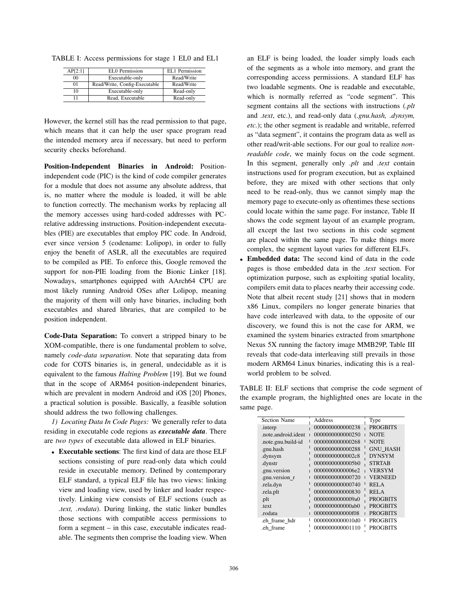TABLE I: Access permissions for stage 1 EL0 and EL1

| AP[2:1]        | EL0 Permission                | EL1 Permission |
|----------------|-------------------------------|----------------|
| 0 <sup>0</sup> | Executable-only               | Read/Write     |
| $_{01}$        | Read/Write, Config-Executable | Read/Write     |
| 10             | Executable-only               | Read-only      |
|                | Read, Executable              | Read-only      |

However, the kernel still has the read permission to that page, which means that it can help the user space program read the intended memory area if necessary, but need to perform security checks beforehand.

Position-Independent Binaries in Android: Positionindependent code (PIC) is the kind of code compiler generates for a module that does not assume any absolute address, that is, no matter where the module is loaded, it will be able to function correctly. The mechanism works by replacing all the memory accesses using hard-coded addresses with PCrelative addressing instructions. Position-independent executables (PIE) are executables that employ PIC code. In Android, ever since version 5 (codename: Lolipop), in order to fully enjoy the benefit of ASLR, all the executables are required to be compiled as PIE. To enforce this, Google removed the support for non-PIE loading from the Bionic Linker [18]. Nowadays, smartphones equipped with AArch64 CPU are most likely running Android OSes after Lolipop, meaning the majority of them will only have binaries, including both executables and shared libraries, that are compiled to be position independent.

Code-Data Separation: To convert a stripped binary to be XOM-compatible, there is one fundamental problem to solve, namely *code-data separation*. Note that separating data from code for COTS binaries is, in general, undecidable as it is equivalent to the famous *Halting Problem* [19]. But we found that in the scope of ARM64 position-independent binaries, which are prevalent in modern Android and iOS [20] Phones, a practical solution is possible. Basically, a feasible solution should address the two following challenges.

*1) Locating Data In Code Pages:* We generally refer to data residing in executable code regions as *executable data*. There are *two types* of executable data allowed in ELF binaries.

• Executable sections: The first kind of data are those ELF sections consisting of pure read-only data which could reside in executable memory. Defined by contemporary ELF standard, a typical ELF file has two views: linking view and loading view, used by linker and loader respectively. Linking view consists of ELF sections (such as *.text, .rodata*). During linking, the static linker bundles those sections with compatible access permissions to form a segment – in this case, executable indicates readable. The segments then comprise the loading view. When an ELF is being loaded, the loader simply loads each of the segments as a whole into memory, and grant the corresponding access permissions. A standard ELF has two loadable segments. One is readable and executable, which is normally referred as "code segment". This segment contains all the sections with instructions (*.plt* and *.text*, etc.), and read-only data (*.gnu.hash, .dynsym, etc.*); the other segment is readable and writable, referred as "data segment", it contains the program data as well as other read/writ-able sections. For our goal to realize *nonreadable code*, we mainly focus on the code segment. In this segment, generally only *.plt* and *.text* contain instructions used for program execution, but as explained before, they are mixed with other sections that only need to be read-only, thus we cannot simply map the memory page to execute-only as oftentimes these sections could locate within the same page. For instance, Table II shows the code segment layout of an example program, all except the last two sections in this code segment are placed within the same page. To make things more complex, the segment layout varies for different ELFs.

• Embedded data: The second kind of data in the code pages is those embedded data in the *.text* section. For optimization purpose, such as exploiting spatial locality, compilers emit data to places nearby their accessing code. Note that albeit recent study [21] shows that in modern x86 Linux, compilers no longer generate binaries that have code interleaved with data, to the opposite of our discovery, we found this is not the case for ARM, we examined the system binaries extracted from smartphone Nexus 5X running the factory image MMB29P, Table III reveals that code-data interleaving still prevails in those modern ARM64 Linux binaries, indicating this is a realworld problem to be solved.

TABLE II: ELF sections that comprise the code segment of the example program, the highlighted ones are locate in the same page.

| <b>Section Name</b> | <b>Address</b>   | Type            |
|---------------------|------------------|-----------------|
| .interp             | 0000000000000238 | <b>PROGBITS</b> |
| .note.android.ident | 0000000000000250 | <b>NOTE</b>     |
| .note.gnu.build-id  | 0000000000000268 | <b>NOTE</b>     |
| .gnu.hash           | 0000000000000288 | <b>GNU HASH</b> |
| .dynsym             | 00000000000002c8 | <b>DYNSYM</b>   |
| .dynstr             | 00000000000005b0 | <b>STRTAB</b>   |
| .gnu.version        | 00000000000006e2 | <b>VERSYM</b>   |
| .gnu.version_r      | 0000000000000720 | <b>VERNEED</b>  |
| .rela.dyn           | 0000000000000740 | <b>RELA</b>     |
| rela.plt.           | 0000000000000830 | <b>RELA</b>     |
| .plt                | 00000000000009a0 | <b>PROGBITS</b> |
| .text               | 0000000000000ab0 | <b>PROGBITS</b> |
| .rodata             | 0000000000000f08 | <b>PROGBITS</b> |
| .eh_frame_hdr       | 00000000000010d0 | <b>PROGBITS</b> |
| eh frame.           | 0000000000001110 | <b>PROGBITS</b> |
|                     |                  |                 |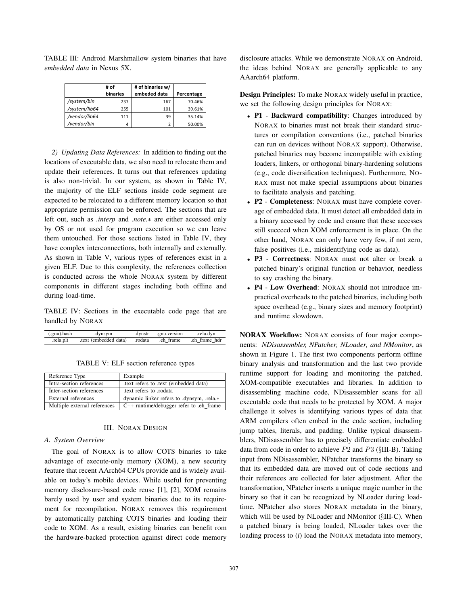TABLE III: Android Marshmallow system binaries that have *embedded data* in Nexus 5X.

|               | # of            | # of binaries w/ |            |
|---------------|-----------------|------------------|------------|
|               | <b>binaries</b> | embeded data     | Percentage |
| /system/bin   | 237             | 167              | 70.46%     |
| /system/lib64 | 255             | 101              | 39.61%     |
| /vendor/lib64 | 111             | 39               | 35.14%     |
| /vendor/bin   | 4               |                  | 50.00%     |

*2) Updating Data References:* In addition to finding out the locations of executable data, we also need to relocate them and update their references. It turns out that references updating is also non-trivial. In our system, as shown in Table IV, the majority of the ELF sections inside code segment are expected to be relocated to a different memory location so that appropriate permission can be enforced. The sections that are left out, such as *.interp* and *.note.*∗ are either accessed only by OS or not used for program execution so we can leave them untouched. For those sections listed in Table IV, they have complex interconnections, both internally and externally. As shown in Table V, various types of references exist in a given ELF. Due to this complexity, the references collection is conducted across the whole NORAX system by different components in different stages including both offline and during load-time.

TABLE IV: Sections in the executable code page that are handled by NORAX

| (.gnu).hash | .dynsym                      | dynstr .gnu.version | .rela.dyn     |
|-------------|------------------------------|---------------------|---------------|
| rela.plt.   | text (embedded data) .rodata | eh frame.           | eh frame hdr. |

TABLE V: ELF section reference types

| Reference Type               | Example                                   |
|------------------------------|-------------------------------------------|
| Intra-section references     | text refers to text (embedded data).      |
| Inter-section references     | text refers to .rodata                    |
| External references          | dynamic linker refers to .dynsym, .rela.* |
| Multiple external references | $C++$ runtime/debugger refer to .eh_frame |

# III. NORAX DESIGN

# *A. System Overview*

The goal of NORAX is to allow COTS binaries to take advantage of execute-only memory (XOM), a new security feature that recent AArch64 CPUs provide and is widely available on today's mobile devices. While useful for preventing memory disclosure-based code reuse [1], [2], XOM remains barely used by user and system binaries due to its requirement for recompilation. NORAX removes this requirement by automatically patching COTS binaries and loading their code to XOM. As a result, existing binaries can benefit rom the hardware-backed protection against direct code memory disclosure attacks. While we demonstrate NORAX on Android, the ideas behind NORAX are generally applicable to any AAarch64 platform.

Design Principles: To make NORAX widely useful in practice, we set the following design principles for NORAX:

- P1 Backward compatibility: Changes introduced by NORAX to binaries must not break their standard structures or compilation conventions (i.e., patched binaries can run on devices without NORAX support). Otherwise, patched binaries may become incompatible with existing loaders, linkers, or orthogonal binary-hardening solutions (e.g., code diversification techniques). Furthermore, NO-RAX must not make special assumptions about binaries to facilitate analysis and patching.
- P2 Completeness: NORAX must have complete coverage of embedded data. It must detect all embedded data in a binary accessed by code and ensure that these accesses still succeed when XOM enforcement is in place. On the other hand, NORAX can only have very few, if not zero, false positives (i.e., misidentifying code as data).
- P3 Correctness: NORAX must not alter or break a patched binary's original function or behavior, needless to say crashing the binary.
- P4 Low Overhead: NORAX should not introduce impractical overheads to the patched binaries, including both space overhead (e.g., binary sizes and memory footprint) and runtime slowdown.

NORAX Workflow: NORAX consists of four major components: *NDisassembler, NPatcher, NLoader, and NMonitor*, as shown in Figure 1. The first two components perform offline binary analysis and transformation and the last two provide runtime support for loading and monitoring the patched, XOM-compatible executables and libraries. In addition to disassembling machine code, NDisassembler scans for all executable code that needs to be protected by XOM. A major challenge it solves is identifying various types of data that ARM compilers often embed in the code section, including jump tables, literals, and padding. Unlike typical disassemblers, NDisassembler has to precisely differentiate embedded data from code in order to achieve  $P2$  and  $P3$  (§III-B). Taking input from NDisassembler, NPatcher transforms the binary so that its embedded data are moved out of code sections and their references are collected for later adjustment. After the transformation, NPatcher inserts a unique magic number in the binary so that it can be recognized by NLoader during loadtime. NPatcher also stores NORAX metadata in the binary, which will be used by NLoader and NMonitor (§III-C). When a patched binary is being loaded, NLoader takes over the loading process to (*i*) load the NORAX metadata into memory,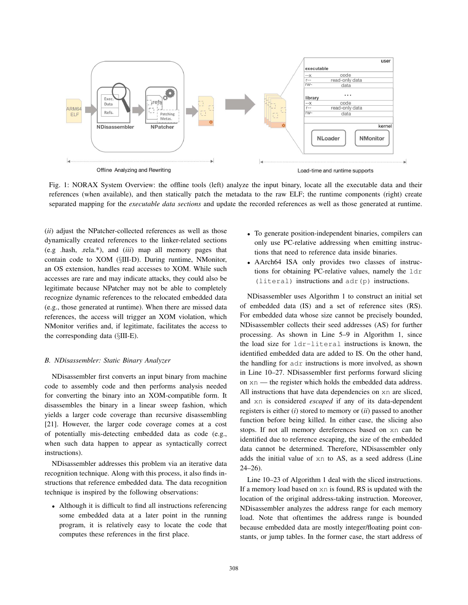

Fig. 1: NORAX System Overview: the offline tools (left) analyze the input binary, locate all the executable data and their references (when available), and then statically patch the metadata to the raw ELF; the runtime components (right) create separated mapping for the *executable data sections* and update the recorded references as well as those generated at runtime.

(*ii*) adjust the NPatcher-collected references as well as those dynamically created references to the linker-related sections (e.g .hash, .rela.\*), and (*iii*) map all memory pages that contain code to XOM (§III-D). During runtime, NMonitor, an OS extension, handles read accesses to XOM. While such accesses are rare and may indicate attacks, they could also be legitimate because NPatcher may not be able to completely recognize dynamic references to the relocated embedded data (e.g., those generated at runtime). When there are missed data references, the access will trigger an XOM violation, which NMonitor verifies and, if legitimate, facilitates the access to the corresponding data (§III-E).

#### *B. NDisassembler: Static Binary Analyzer*

NDisassembler first converts an input binary from machine code to assembly code and then performs analysis needed for converting the binary into an XOM-compatible form. It disassembles the binary in a linear sweep fashion, which yields a larger code coverage than recursive disassembling [21]. However, the larger code coverage comes at a cost of potentially mis-detecting embedded data as code (e.g., when such data happen to appear as syntactically correct instructions).

NDisassembler addresses this problem via an iterative data recognition technique. Along with this process, it also finds instructions that reference embedded data. The data recognition technique is inspired by the following observations:

• Although it is difficult to find all instructions referencing some embedded data at a later point in the running program, it is relatively easy to locate the code that computes these references in the first place.

- To generate position-independent binaries, compilers can only use PC-relative addressing when emitting instructions that need to reference data inside binaries.
- AArch64 ISA only provides two classes of instructions for obtaining PC-relative values, namely the ldr (literal) instructions and adr(p) instructions.

NDisassembler uses Algorithm 1 to construct an initial set of embedded data (IS) and a set of reference sites (RS). For embedded data whose size cannot be precisely bounded, NDisassembler collects their seed addresses (AS) for further processing. As shown in Line 5–9 in Algorithm 1, since the load size for ldr-literal instructions is known, the identified embedded data are added to IS. On the other hand, the handling for adr instructions is more involved, as shown in Line 10–27. NDisassembler first performs forward slicing on xn — the register which holds the embedded data address. All instructions that have data dependencies on xn are sliced, and xn is considered *escaped* if any of its data-dependent registers is either (*i*) stored to memory or (*ii*) passed to another function before being killed. In either case, the slicing also stops. If not all memory dereferences based on xn can be identified due to reference escaping, the size of the embedded data cannot be determined. Therefore, NDisassembler only adds the initial value of xn to AS, as a seed address (Line  $24 - 26$ ).

Line 10–23 of Algorithm 1 deal with the sliced instructions. If a memory load based on xn is found, RS is updated with the location of the original address-taking instruction. Moreover, NDisassembler analyzes the address range for each memory load. Note that oftentimes the address range is bounded because embedded data are mostly integer/floating point constants, or jump tables. In the former case, the start address of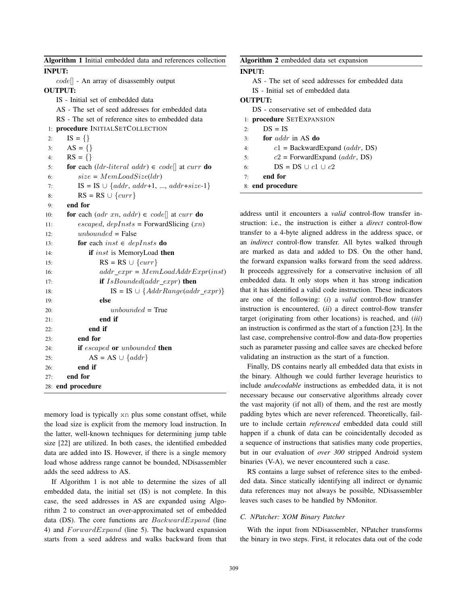| <b>INPUT:</b>                                                                |  |  |  |  |  |
|------------------------------------------------------------------------------|--|--|--|--|--|
| $code[]$ - An array of disassembly output                                    |  |  |  |  |  |
| <b>OUTPUT:</b>                                                               |  |  |  |  |  |
| IS - Initial set of embedded data                                            |  |  |  |  |  |
| AS - The set of seed addresses for embedded data                             |  |  |  |  |  |
| RS - The set of reference sites to embedded data                             |  |  |  |  |  |
| procedure INITIALSETCOLLECTION<br>1:                                         |  |  |  |  |  |
| $IS = \{\}$<br>2:                                                            |  |  |  |  |  |
| $AS = \{\}$<br>3:                                                            |  |  |  |  |  |
| $RS = \{\}$<br>4:                                                            |  |  |  |  |  |
| for each (ldr-literal addr) $\in \text{code}$ at curr do<br>5:               |  |  |  |  |  |
| $size = MemLoadSize(ldr)$<br>6:                                              |  |  |  |  |  |
| $IS = IS \cup \{addr, addr+1, , addr+size-1\}$<br>7:                         |  |  |  |  |  |
| $RS = RS \cup \{curr\}$<br>8:                                                |  |  |  |  |  |
| end for<br>9:                                                                |  |  |  |  |  |
| <b>for</b> each $(adr\ xn, addr) \in code[]$ at <i>curr</i> <b>do</b><br>10: |  |  |  |  |  |
| escaped, $deplnsts = ForwardSlicing(xn)$<br>11:                              |  |  |  |  |  |
| unbounded $=$ False<br>12:                                                   |  |  |  |  |  |
| for each <i>inst</i> $\in$ <i>depInsts</i> <b>do</b><br>13:                  |  |  |  |  |  |
| <b>if</b> inst is MemoryLoad then<br>14:                                     |  |  |  |  |  |
| $RS = RS \cup \{curr\}$<br>15:                                               |  |  |  |  |  |
| $addr\_expr = MemLoadAddrExpr (inst)$<br>16:                                 |  |  |  |  |  |
| if $IsBounded (addr\_expr)$ then<br>17:                                      |  |  |  |  |  |
| $IS = IS \cup \{AddrRange(addr\_expr)\}$<br>18:                              |  |  |  |  |  |
| else<br>19:                                                                  |  |  |  |  |  |
| unbounded $=$ True<br>20:                                                    |  |  |  |  |  |
| end if<br>21:                                                                |  |  |  |  |  |
| end if<br>22:                                                                |  |  |  |  |  |
| end for<br>23:                                                               |  |  |  |  |  |
| if escaped or unbounded then<br>24:                                          |  |  |  |  |  |
| $AS = AS \cup \{addr\}$<br>25:                                               |  |  |  |  |  |
| end if<br>26:                                                                |  |  |  |  |  |
| end for<br>27:                                                               |  |  |  |  |  |
| 28: end procedure                                                            |  |  |  |  |  |
|                                                                              |  |  |  |  |  |

Algorithm 1 Initial embedded data and references collection

memory load is typically xn plus some constant offset, while the load size is explicit from the memory load instruction. In the latter, well-known techniques for determining jump table size [22] are utilized. In both cases, the identified embedded data are added into IS. However, if there is a single memory load whose address range cannot be bounded, NDisassembler adds the seed address to AS.

If Algorithm 1 is not able to determine the sizes of all embedded data, the initial set (IS) is not complete. In this case, the seed addresses in AS are expanded using Algorithm 2 to construct an over-approximated set of embedded data (DS). The core functions are  $BackwardExpand$  (line 4) and  $ForwardExpand$  (line 5). The backward expansion starts from a seed address and walks backward from that

|                | <b>Algorithm 2</b> embedded data set expansion   |  |  |  |  |
|----------------|--------------------------------------------------|--|--|--|--|
| <b>INPUT:</b>  |                                                  |  |  |  |  |
|                | AS - The set of seed addresses for embedded data |  |  |  |  |
|                | IS - Initial set of embedded data                |  |  |  |  |
| <b>OUTPUT:</b> |                                                  |  |  |  |  |
|                | DS - conservative set of embedded data           |  |  |  |  |
|                | 1: <b>procedure</b> SETEXPANSION                 |  |  |  |  |
| 2.             | $DS = IS$                                        |  |  |  |  |
| 3:             | for $addr$ in AS do                              |  |  |  |  |
| 4:             | $c1 =$ BackwardExpand (addr, DS)                 |  |  |  |  |
| 5:             | $c2$ = Forward Expand ( <i>addr</i> , DS)        |  |  |  |  |
| 6.             | $DS = DS \cup c1 \cup c2$                        |  |  |  |  |
| 7:             | end for                                          |  |  |  |  |
|                | 8: end procedure                                 |  |  |  |  |

address until it encounters a *valid* control-flow transfer instruction: i.e., the instruction is either a *direct* control-flow transfer to a 4-byte aligned address in the address space, or an *indirect* control-flow transfer. All bytes walked through are marked as data and added to DS. On the other hand, the forward expansion walks forward from the seed address. It proceeds aggressively for a conservative inclusion of all embedded data. It only stops when it has strong indication that it has identified a valid code instruction. These indicators are one of the following: (*i*) a *valid* control-flow transfer instruction is encountered, (*ii*) a direct control-flow transfer target (originating from other locations) is reached, and (*iii*) an instruction is confirmed as the start of a function [23]. In the last case, comprehensive control-flow and data-flow properties such as parameter passing and callee saves are checked before validating an instruction as the start of a function.

Finally, DS contains nearly all embedded data that exists in the binary. Although we could further leverage heuristics to include *undecodable* instructions as embedded data, it is not necessary because our conservative algorithms already cover the vast majority (if not all) of them, and the rest are mostly padding bytes which are never referenced. Theoretically, failure to include certain *referenced* embedded data could still happen if a chunk of data can be coincidentally decoded as a sequence of instructions that satisfies many code properties, but in our evaluation of *over 300* stripped Android system binaries (V-A), we never encountered such a case.

RS contains a large subset of reference sites to the embedded data. Since statically identifying all indirect or dynamic data references may not always be possible, NDisassembler leaves such cases to be handled by NMonitor.

### *C. NPatcher: XOM Binary Patcher*

With the input from NDisassembler, NPatcher transforms the binary in two steps. First, it relocates data out of the code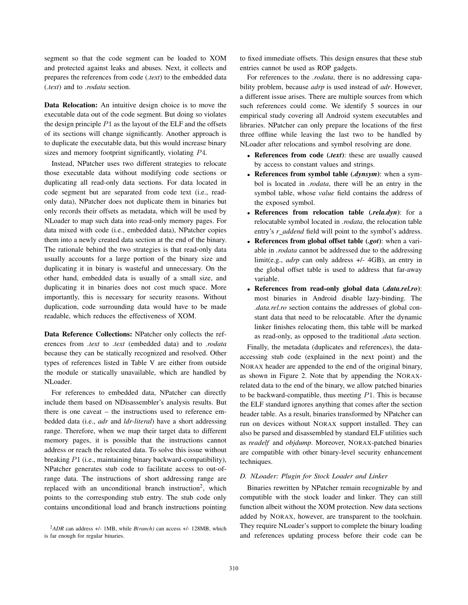segment so that the code segment can be loaded to XOM and protected against leaks and abuses. Next, it collects and prepares the references from code (*.text*) to the embedded data (*.text*) and to *.rodata* section.

Data Relocation: An intuitive design choice is to move the executable data out of the code segment. But doing so violates the design principle  $P1$  as the layout of the ELF and the offsets of its sections will change significantly. Another approach is to duplicate the executable data, but this would increase binary sizes and memory footprint significantly, violating P4.

Instead, NPatcher uses two different strategies to relocate those executable data without modifying code sections or duplicating all read-only data sections. For data located in code segment but are separated from code text (i.e., readonly data), NPatcher does not duplicate them in binaries but only records their offsets as metadata, which will be used by NLoader to map such data into read-only memory pages. For data mixed with code (i.e., embedded data), NPatcher copies them into a newly created data section at the end of the binary. The rationale behind the two strategies is that read-only data usually accounts for a large portion of the binary size and duplicating it in binary is wasteful and unnecessary. On the other hand, embedded data is usually of a small size, and duplicating it in binaries does not cost much space. More importantly, this is necessary for security reasons. Without duplication, code surrounding data would have to be made readable, which reduces the effectiveness of XOM.

Data Reference Collections: NPatcher only collects the references from *.text* to *.text* (embedded data) and to *.rodata* because they can be statically recognized and resolved. Other types of references listed in Table V are either from outside the module or statically unavailable, which are handled by NLoader.

For references to embedded data, NPatcher can directly include them based on NDisassembler's analysis results. But there is one caveat – the instructions used to reference embedded data (i.e., *adr* and *ldr-literal*) have a short addressing range. Therefore, when we map their target data to different memory pages, it is possible that the instructions cannot address or reach the relocated data. To solve this issue without breaking P1 (i.e., maintaining binary backward-compatibility), NPatcher generates stub code to facilitate access to out-ofrange data. The instructions of short addressing range are replaced with an unconditional branch instruction<sup>2</sup>, which points to the corresponding stub entry. The stub code only contains unconditional load and branch instructions pointing

to fixed immediate offsets. This design ensures that these stub entries cannot be used as ROP gadgets.

For references to the *.rodata*, there is no addressing capability problem, because *adrp* is used instead of *adr*. However, a different issue arises. There are multiple sources from which such references could come. We identify 5 sources in our empirical study covering all Android system executables and libraries. NPatcher can only prepare the locations of the first three offline while leaving the last two to be handled by NLoader after relocations and symbol resolving are done.

- References from code (*.text*): these are usually caused by access to constant values and strings.
- References from symbol table (*.dynsym*): when a symbol is located in *.rodata*, there will be an entry in the symbol table, whose *value* field contains the address of the exposed symbol.
- References from relocation table (*.rela.dyn*): for a relocatable symbol located in *.rodata*, the relocation table entry's *r\_addend* field will point to the symbol's address.
- References from global offset table (*.got*): when a variable in *.rodata* cannot be addressed due to the addressing limit(e.g., *adrp* can only address +/- 4GB), an entry in the global offset table is used to address that far-away variable.
- References from read-only global data (*.data.rel.ro*): most binaries in Android disable lazy-binding. The *.data.rel.ro* section contains the addresses of global constant data that need to be relocatable. After the dynamic linker finishes relocating them, this table will be marked as read-only, as opposed to the traditional *.data* section.

Finally, the metadata (duplicates and references), the dataaccessing stub code (explained in the next point) and the NORAX header are appended to the end of the original binary, as shown in Figure 2. Note that by appending the NORAXrelated data to the end of the binary, we allow patched binaries to be backward-compatible, thus meeting  $P1$ . This is because the ELF standard ignores anything that comes after the section header table. As a result, binaries transformed by NPatcher can run on devices without NORAX support installed. They can also be parsed and disassembled by standard ELF utilities such as *readelf* and *objdump*. Moreover, NORAX-patched binaries are compatible with other binary-level security enhancement techniques.

# *D. NLoader: Plugin for Stock Loader and Linker*

Binaries rewritten by NPatcher remain recognizable by and compatible with the stock loader and linker. They can still function albeit without the XOM protection. New data sections added by NORAX, however, are transparent to the toolchain. They require NLoader's support to complete the binary loading and references updating process before their code can be

 $^{2}$ ADR can address  $+/-$  1MB, while *B(ranch)* can access  $+/-$  128MB, which is far enough for regular binaries.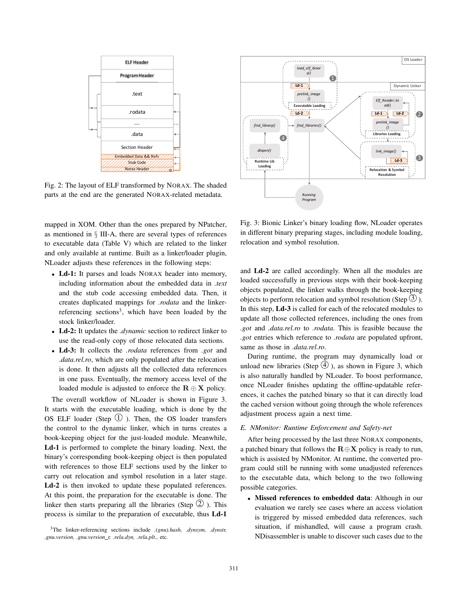

Fig. 2: The layout of ELF transformed by NORAX. The shaded parts at the end are the generated NORAX-related metadata.

mapped in XOM. Other than the ones prepared by NPatcher, as mentioned in § III-A, there are several types of references to executable data (Table V) which are related to the linker and only available at runtime. Built as a linker/loader plugin, NLoader adjusts these references in the following steps:

- Ld-1: It parses and loads NORAX header into memory, including information about the embedded data in *.text* and the stub code accessing embedded data. Then, it creates duplicated mappings for *.rodata* and the linkerreferencing sections<sup>3</sup>, which have been loaded by the stock linker/loader.
- Ld-2: It updates the *.dynamic* section to redirect linker to use the read-only copy of those relocated data sections.
- Ld-3: It collects the *.rodata* references from *.got* and *.data.rel.ro*, which are only populated after the relocation is done. It then adjusts all the collected data references in one pass. Eventually, the memory access level of the loaded module is adjusted to enforce the  $\mathbf{R} \oplus \mathbf{X}$  policy.

The overall workflow of NLoader is shown in Figure 3. It starts with the executable loading, which is done by the OS ELF loader (Step  $(1)$ ). Then, the OS loader transfers the control to the dynamic linker, which in turns creates a book-keeping object for the just-loaded module. Meanwhile, Ld-1 is performed to complete the binary loading. Next, the binary's corresponding book-keeping object is then populated with references to those ELF sections used by the linker to carry out relocation and symbol resolution in a later stage. Ld-2 is then invoked to update these populated references. At this point, the preparation for the executable is done. The linker then starts preparing all the libraries (Step  $(2)$ ). This process is similar to the preparation of executable, thus Ld-1



Fig. 3: Bionic Linker's binary loading flow, NLoader operates in different binary preparing stages, including module loading, relocation and symbol resolution.

and Ld-2 are called accordingly. When all the modules are loaded successfully in previous steps with their book-keeping objects populated, the linker walks through the book-keeping objects to perform relocation and symbol resolution (Step  $(3)$ ). In this step, Ld-3 is called for each of the relocated modules to update all those collected references, including the ones from *.got* and *.data.rel.ro* to *.rodata*. This is feasible because the *.got* entries which reference to *.rodata* are populated upfront, same as those in *.data.rel.ro*.

During runtime, the program may dynamically load or unload new libraries (Step  $\overline{4}$ ), as shown in Figure 3, which is also naturally handled by NLoader. To boost performance, once NLoader finishes updating the offline-updatable references, it caches the patched binary so that it can directly load the cached version without going through the whole references adjustment process again a next time.

# *E. NMonitor: Runtime Enforcement and Safety-net*

After being processed by the last three NORAX components, a patched binary that follows the **R**⊕**X** policy is ready to run, which is assisted by NMonitor. At runtime, the converted program could still be running with some unadjusted references to the executable data, which belong to the two following possible categories.

• Missed references to embedded data: Although in our evaluation we rarely see cases where an access violation is triggered by missed embedded data references, such situation, if mishandled, will cause a program crash. NDisassembler is unable to discover such cases due to the

<sup>3</sup>The linker-referencing sections include *.(gnu).hash, .dynsym, .dynstr, .gnu.version, .gnu.version r, .rela.dyn, .rela.plt*., etc.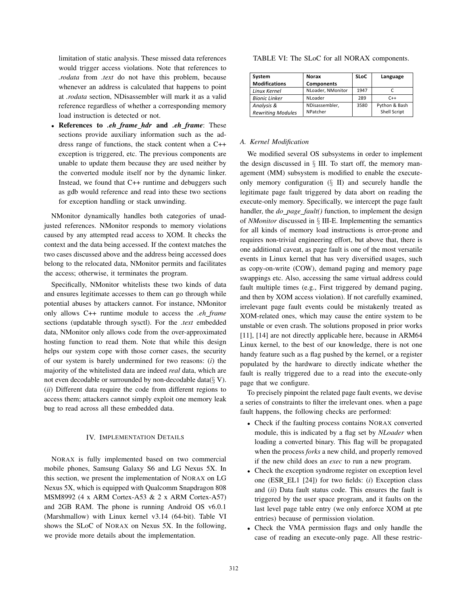limitation of static analysis. These missed data references would trigger access violations. Note that references to *.rodata* from *.text* do not have this problem, because whenever an address is calculated that happens to point at *.rodata* section, NDisassembler will mark it as a valid reference regardless of whether a corresponding memory load instruction is detected or not.

• References to *.eh frame hdr* and *.eh frame*: These sections provide auxiliary information such as the address range of functions, the stack content when a C++ exception is triggered, etc. The previous components are unable to update them because they are used neither by the converted module itself nor by the dynamic linker. Instead, we found that C++ runtime and debuggers such as gdb would reference and read into these two sections for exception handling or stack unwinding.

NMonitor dynamically handles both categories of unadjusted references. NMonitor responds to memory violations caused by any attempted read access to XOM. It checks the context and the data being accessed. If the context matches the two cases discussed above and the address being accessed does belong to the relocated data, NMonitor permits and facilitates the access; otherwise, it terminates the program.

Specifically, NMonitor whitelists these two kinds of data and ensures legitimate accesses to them can go through while potential abuses by attackers cannot. For instance, NMonitor only allows C++ runtime module to access the *.eh frame* sections (updatable through sysctl). For the *.text* embedded data, NMonitor only allows code from the over-approximated hosting function to read them. Note that while this design helps our system cope with those corner cases, the security of our system is barely undermined for two reasons: (*i*) the majority of the whitelisted data are indeed *real* data, which are not even decodable or surrounded by non-decodable data(§ V). (*ii*) Different data require the code from different regions to access them; attackers cannot simply exploit one memory leak bug to read across all these embedded data.

#### IV. IMPLEMENTATION DETAILS

NORAX is fully implemented based on two commercial mobile phones, Samsung Galaxy S6 and LG Nexus 5X. In this section, we present the implementation of NORAX on LG Nexus 5X, which is equipped with Qualcomm Snapdragon 808 MSM8992 (4 x ARM Cortex-A53 & 2 x ARM Cortex-A57) and 2GB RAM. The phone is running Android OS v6.0.1 (Marshmallow) with Linux kernel v3.14 (64-bit). Table VI shows the SLoC of NORAX on Nexus 5X. In the following, we provide more details about the implementation.

| TABLE VI: The SLoC for all NORAX components. |  |
|----------------------------------------------|--|
|----------------------------------------------|--|

| System<br><b>Modifications</b>         | <b>Norax</b><br><b>Components</b> | <b>SLoC</b> | Language                             |
|----------------------------------------|-----------------------------------|-------------|--------------------------------------|
| Linux Kernel                           | NLoader, NMonitor                 | 1947        |                                      |
| <b>Bionic Linker</b>                   | NLoader                           | 289         | $C++$                                |
| Analysis &<br><b>Rewriting Modules</b> | NDisassembler,<br>NPatcher        | 3580        | Python & Bash<br><b>Shell Script</b> |

# *A. Kernel Modification*

We modified several OS subsystems in order to implement the design discussed in § III. To start off, the memory management (MM) subsystem is modified to enable the executeonly memory configuration (§ II) and securely handle the legitimate page fault triggered by data abort on reading the execute-only memory. Specifically, we intercept the page fault handler, the *do page fault()* function, to implement the design of *NMonitor* discussed in § III-E. Implementing the semantics for all kinds of memory load instructions is error-prone and requires non-trivial engineering effort, but above that, there is one additional caveat, as page fault is one of the most versatile events in Linux kernel that has very diversified usages, such as copy-on-write (COW), demand paging and memory page swappings etc. Also, accessing the same virtual address could fault multiple times (e.g., First triggered by demand paging, and then by XOM access violation). If not carefully examined, irrelevant page fault events could be mistakenly treated as XOM-related ones, which may cause the entire system to be unstable or even crash. The solutions proposed in prior works [11], [14] are not directly applicable here, because in ARM64 Linux kernel, to the best of our knowledge, there is not one handy feature such as a flag pushed by the kernel, or a register populated by the hardware to directly indicate whether the fault is really triggered due to a read into the execute-only page that we configure.

To precisely pinpoint the related page fault events, we devise a series of constraints to filter the irrelevant ones. when a page fault happens, the following checks are performed:

- Check if the faulting process contains NORAX converted module, this is indicated by a flag set by *NLoader* when loading a converted binary. This flag will be propagated when the process *forks* a new child, and properly removed if the new child does an *exec* to run a new program.
- Check the exception syndrome register on exception level one (ESR EL1 [24]) for two fields: (*i*) Exception class and (*ii*) Data fault status code. This ensures the fault is triggered by the user space program, and it faults on the last level page table entry (we only enforce XOM at pte entries) because of permission violation.
- Check the VMA permission flags and only handle the case of reading an execute-only page. All these restric-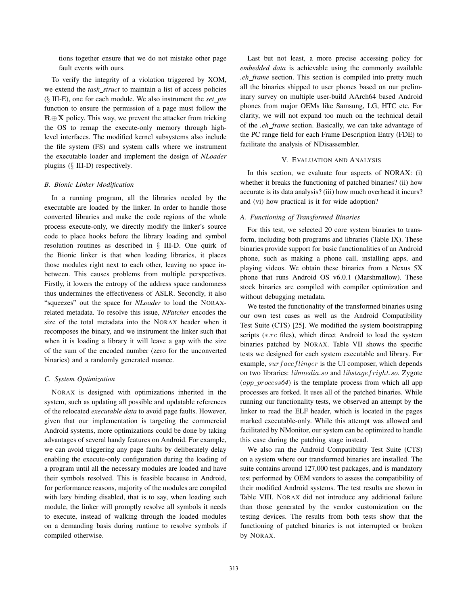tions together ensure that we do not mistake other page fault events with ours.

To verify the integrity of a violation triggered by XOM, we extend the *task struct* to maintain a list of access policies (§ III-E), one for each module. We also instrument the *set pte* function to ensure the permission of a page must follow the **R**⊕**X** policy. This way, we prevent the attacker from tricking the OS to remap the execute-only memory through highlevel interfaces. The modified kernel subsystems also include the file system (FS) and system calls where we instrument the executable loader and implement the design of *NLoader* plugins (§ III-D) respectively.

#### *B. Bionic Linker Modification*

In a running program, all the libraries needed by the executable are loaded by the linker. In order to handle those converted libraries and make the code regions of the whole process execute-only, we directly modify the linker's source code to place hooks before the library loading and symbol resolution routines as described in § III-D. One quirk of the Bionic linker is that when loading libraries, it places those modules right next to each other, leaving no space inbetween. This causes problems from multiple perspectives. Firstly, it lowers the entropy of the address space randomness thus undermines the effectiveness of ASLR. Secondly, it also "squeezes" out the space for *NLoader* to load the NORAXrelated metadata. To resolve this issue, *NPatcher* encodes the size of the total metadata into the NORAX header when it recomposes the binary, and we instrument the linker such that when it is loading a library it will leave a gap with the size of the sum of the encoded number (zero for the unconverted binaries) and a randomly generated nuance.

#### *C. System Optimization*

NORAX is designed with optimizations inherited in the system, such as updating all possible and updatable references of the relocated *executable data* to avoid page faults. However, given that our implementation is targeting the commercial Android systems, more optimizations could be done by taking advantages of several handy features on Android. For example, we can avoid triggering any page faults by deliberately delay enabling the execute-only configuration during the loading of a program until all the necessary modules are loaded and have their symbols resolved. This is feasible because in Android, for performance reasons, majority of the modules are compiled with lazy binding disabled, that is to say, when loading such module, the linker will promptly resolve all symbols it needs to execute, instead of walking through the loaded modules on a demanding basis during runtime to resolve symbols if compiled otherwise.

Last but not least, a more precise accessing policy for *embedded data* is achievable using the commonly available *.eh frame* section. This section is compiled into pretty much all the binaries shipped to user phones based on our preliminary survey on multiple user-build AArch64 based Android phones from major OEMs like Samsung, LG, HTC etc. For clarity, we will not expand too much on the technical detail of the *.eh frame* section. Basically, we can take advantage of the PC range field for each Frame Description Entry (FDE) to facilitate the analysis of NDisassembler.

# V. EVALUATION AND ANALYSIS

In this section, we evaluate four aspects of NORAX: (i) whether it breaks the functioning of patched binaries? (ii) how accurate is its data analysis? (iii) how much overhead it incurs? and (vi) how practical is it for wide adoption?

## *A. Functioning of Transformed Binaries*

For this test, we selected 20 core system binaries to transform, including both programs and libraries (Table IX). These binaries provide support for basic functionalities of an Android phone, such as making a phone call, installing apps, and playing videos. We obtain these binaries from a Nexus 5X phone that runs Android OS v6.0.1 (Marshmallow). These stock binaries are compiled with compiler optimization and without debugging metadata.

We tested the functionality of the transformed binaries using our own test cases as well as the Android Compatibility Test Suite (CTS) [25]. We modified the system bootstrapping scripts (\*.rc files), which direct Android to load the system binaries patched by NORAX. Table VII shows the specific tests we designed for each system executable and library. For example,  $surface \, filinger$  is the UI composer, which depends on two libraries: libmedia.so and libstagefright.so. Zygote (app\_process64) is the template process from which all app processes are forked. It uses all of the patched binaries. While running our functionality tests, we observed an attempt by the linker to read the ELF header, which is located in the pages marked executable-only. While this attempt was allowed and facilitated by NMonitor, our system can be optimized to handle this case during the patching stage instead.

We also ran the Android Compatibility Test Suite (CTS) on a system where our transformed binaries are installed. The suite contains around 127,000 test packages, and is mandatory test performed by OEM vendors to assess the compatibility of their modified Android systems. The test results are shown in Table VIII. NORAX did not introduce any additional failure than those generated by the vendor customization on the testing devices. The results from both tests show that the functioning of patched binaries is not interrupted or broken by NORAX.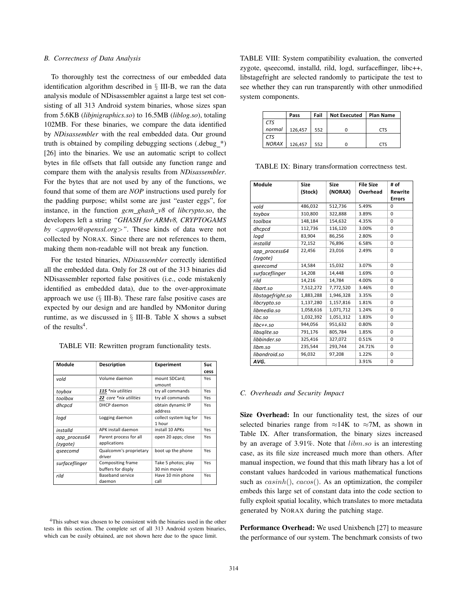## *B. Correctness of Data Analysis*

To thoroughly test the correctness of our embedded data identification algorithm described in § III-B, we ran the data analysis module of NDisassembler against a large test set consisting of all 313 Android system binaries, whose sizes span from 5.6KB (*libjnigraphics.so*) to 16.5MB (*liblog.so*), totaling 102MB. For these binaries, we compare the data identified by *NDisassembler* with the real embedded data. Our ground truth is obtained by compiling debugging sections (.debug \*) [26] into the binaries. We use an automatic script to collect bytes in file offsets that fall outside any function range and compare them with the analysis results from *NDisassembler*. For the bytes that are not used by any of the functions, we found that some of them are *NOP* instructions used purely for the padding purpose; whilst some are just "easter eggs", for instance, in the function *gcm ghash v8* of *libcrypto.so*, the developers left a string *"GHASH for ARMv8, CRYPTOGAMS by* <*appro@openssl.org*>*"*. These kinds of data were not collected by NORAX. Since there are not references to them, making them non-readable will not break any function.

For the tested binaries, *NDisassembler* correctly identified all the embedded data. Only for 28 out of the 313 binaries did NDisassembler reported false positives (i.e., code mistakenly identified as embedded data), due to the over-approximate approach we use  $(\S$  III-B). These rare false positive cases are expected by our design and are handled by NMonitor during runtime, as we discussed in  $\S$  III-B. Table X shows a subset of the results<sup>4</sup>.

TABLE VII: Rewritten program functionality tests.

| <b>Module</b>             | <b>Description</b>                             | <b>Experiment</b>                   | Suc  |
|---------------------------|------------------------------------------------|-------------------------------------|------|
|                           |                                                |                                     | cess |
| vold                      | Volume daemon                                  | mount SDCard;<br>umount             | Yes  |
| toybox                    | 115 *nix utilities                             | try all commands                    | Yes  |
| toolbox                   | 22 core *nix utilities                         | try all commands                    | Yes  |
| dhcpcd                    | DHCP daemon                                    | obtain dynamic IP<br>address        | Yes  |
| logd                      | Logging daemon                                 | collect system log for<br>1 hour    | Yes  |
| installd                  | APK install daemon                             | install 10 APKs                     | Yes  |
| app process64<br>(zygote) | Parent process for all<br>applications         | open 20 apps; close                 | Yes  |
| gseecomd                  | Qualcomm's proprietary<br>driver               | boot up the phone                   | Yes  |
| surfaceflinger            | <b>Compositing frame</b><br>buffers for disply | Take 5 photos; play<br>30 min movie | Yes  |
| rild                      | Baseband service<br>daemon                     | Have 10 min phone<br>call           | Yes  |

4This subset was chosen to be consistent with the binaries used in the other tests in this section. The complete set of all 313 Android system binaries, which can be easily obtained, are not shown here due to the space limit.

TABLE VIII: System compatibility evaluation, the converted zygote, qseecomd, installd, rild, logd, surfaceflinger, libc++, libstagefright are selected randomly to participate the test to see whether they can run transparently with other unmodified system components.

|            | Pass    | Fail | Not Executed   Plan Name |            |
|------------|---------|------|--------------------------|------------|
| <b>CTS</b> |         |      |                          |            |
| normal     | 126.457 | 552  |                          | <b>CTS</b> |
| <b>CTS</b> |         |      |                          |            |
| NORAX      | 126,457 | 552  |                          | <b>CTS</b> |

TABLE IX: Binary transformation correctness test.

| Module            | Size      | Size      | <b>File Size</b> | # of          |
|-------------------|-----------|-----------|------------------|---------------|
|                   | (Stock)   | (NORAX)   | Overhead         | Rewrite       |
|                   |           |           |                  | <b>Errors</b> |
| vold              | 486,032   | 512,736   | 5.49%            | $\Omega$      |
| toybox            | 310.800   | 322,888   | 3.89%            | $\Omega$      |
| toolbox           | 148,184   | 154,632   | 4.35%            | 0             |
| dhcpcd            | 112.736   | 116.120   | 3.00%            | $\Omega$      |
| logd              | 83.904    | 86,256    | 2.80%            | $\Omega$      |
| installd          | 72,152    | 76,896    | 6.58%            | $\Omega$      |
| app process64     | 22,456    | 23,016    | 2.49%            | $\Omega$      |
| (zygote)          |           |           |                  |               |
| gseecomd          | 14,584    | 15,032    | 3.07%            | $\Omega$      |
| surfaceflinger    | 14,208    | 14,448    | 1.69%            | $\Omega$      |
| rild              | 14.216    | 14.784    | 4.00%            | $\Omega$      |
| libart.so         | 7,512,272 | 7,772,520 | 3.46%            | $\Omega$      |
| libstagefright.so | 1,883,288 | 1,946,328 | 3.35%            | $\Omega$      |
| libcrypto.so      | 1,137,280 | 1,157,816 | 1.81%            | $\Omega$      |
| libmedia.so       | 1,058,616 | 1,071,712 | 1.24%            | $\Omega$      |
| libc.so           | 1,032,392 | 1,051,312 | 1.83%            | $\Omega$      |
| $libc++.so$       | 944.056   | 951,632   | 0.80%            | $\Omega$      |
| libsglite.so      | 791,176   | 805,784   | 1.85%            | $\Omega$      |
| libbinder.so      | 325,416   | 327,072   | 0.51%            | $\Omega$      |
| libm.so           | 235,544   | 293,744   | 24.71%           | $\Omega$      |
| libandroid.so     | 96,032    | 97,208    | 1.22%            | $\Omega$      |
| AVG.              |           |           | 3.91%            | 0             |

#### *C. Overheads and Security Impact*

Size Overhead: In our functionality test, the sizes of our selected binaries range from  $\approx$ 14K to  $\approx$ 7M, as shown in Table IX. After transformation, the binary sizes increased by an average of 3.91%. Note that libm.so is an interesting case, as its file size increased much more than others. After manual inspection, we found that this math library has a lot of constant values hardcoded in various mathematical functions such as  $casinh()$ ,  $cacos()$ . As an optimization, the compiler embeds this large set of constant data into the code section to fully exploit spatial locality, which translates to more metadata generated by NORAX during the patching stage.

Performance Overhead: We used Unixbench [27] to measure the performance of our system. The benchmark consists of two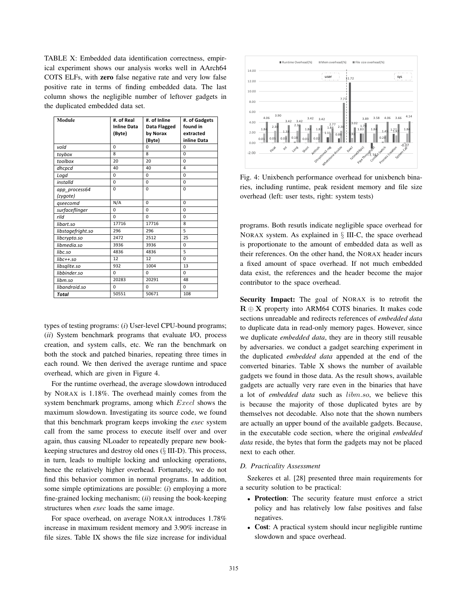TABLE X: Embedded data identification correctness, empirical experiment shows our analysis works well in AArch64 COTS ELFs, with zero false negative rate and very low false positive rate in terms of finding embedded data. The last column shows the negligible number of leftover gadgets in the duplicated embedded data set.

| Module            | #. of Real         | #. of Inline | #. of Gadgets |
|-------------------|--------------------|--------------|---------------|
|                   | <b>Inline Data</b> | Data Flagged | found in      |
|                   | (Byte)             | by Norax     | extracted     |
|                   |                    | (Byte)       | inline Data   |
| vold              | $\Omega$           | $\Omega$     | 0             |
| toybox            | 8                  | 8            | $\Omega$      |
| toolbox           | 20                 | 20           | $\Omega$      |
| dhcpcd            | 40                 | 40           | 4             |
| Logd              | $\Omega$           | $\Omega$     | $\Omega$      |
| installd          | $\Omega$           | 0            | $\Omega$      |
| app process64     | $\Omega$           | $\Omega$     | $\Omega$      |
| (zygote)          |                    |              |               |
| gseecomd          | N/A                | $\Omega$     | $\Omega$      |
| surfaceflinger    | $\Omega$           | $\Omega$     | $\Omega$      |
| rild              | $\Omega$           | $\Omega$     | 0             |
| libart.so         | 17716              | 17716        | 8             |
| libstagefright.so | 296                | 296          | 5             |
| libcrypto.so      | 2472               | 2512         | 25            |
| libmedia.so       | 3936               | 3936         | 0             |
| libc.so           | 4836               | 4836         | 5             |
| $libc++$ .so      | 12                 | 12           | $\Omega$      |
| libsglite.so      | 932                | 1004         | 13            |
| libbinder.so      | $\Omega$           | $\Omega$     | $\Omega$      |
| libm.so           | 20283              | 20291        | 48            |
| libandroid.so     | $\Omega$           | $\Omega$     | 0             |
| Total             | 50551              | 50671        | 108           |

types of testing programs: (*i*) User-level CPU-bound programs; (*ii*) System benchmark programs that evaluate I/O, process creation, and system calls, etc. We ran the benchmark on both the stock and patched binaries, repeating three times in each round. We then derived the average runtime and space overhead, which are given in Figure 4.

For the runtime overhead, the average slowdown introduced by NORAX is 1.18%. The overhead mainly comes from the system benchmark programs, among which Execl shows the maximum slowdown. Investigating its source code, we found that this benchmark program keeps invoking the *exec* system call from the same process to execute itself over and over again, thus causing NLoader to repeatedly prepare new bookkeeping structures and destroy old ones (§ III-D). This process, in turn, leads to multiple locking and unlocking operations, hence the relatively higher overhead. Fortunately, we do not find this behavior common in normal programs. In addition, some simple optimizations are possible: (*i*) employing a more fine-grained locking mechanism; (*ii*) reusing the book-keeping structures when *exec* loads the same image.

For space overhead, on average NORAX introduces 1.78% increase in maximum resident memory and 3.90% increase in file sizes. Table IX shows the file size increase for individual



Fig. 4: Unixbench performance overhead for unixbench binaries, including runtime, peak resident memory and file size overhead (left: user tests, right: system tests)

programs. Both resutls indicate negligible space overhead for NORAX system. As explained in  $\S$  III-C, the space overhead is proportionate to the amount of embedded data as well as their references. On the other hand, the NORAX header incurs a fixed amount of space overhead. If not much embedded data exist, the references and the header become the major contributor to the space overhead.

Security Impact: The goal of NORAX is to retrofit the **R** ⊕ **X** property into ARM64 COTS binaries. It makes code sections unreadable and redirects references of *embedded data* to duplicate data in read-only memory pages. However, since we duplicate *embedded data*, they are in theory still reusable by adversaries. we conduct a gadget searching experiment in the duplicated *embedded data* appended at the end of the converted binaries. Table X shows the number of available gadgets we found in those data. As the result shows, available gadgets are actually very rare even in the binaries that have a lot of *embedded data* such as libm.so, we believe this is because the majority of those duplicated bytes are by themselves not decodable. Also note that the shown numbers are actually an upper bound of the available gadgets. Because, in the executable code section, where the original *embedded data* reside, the bytes that form the gadgets may not be placed next to each other.

# *D. Practicality Assessment*

Szekeres et al. [28] presented three main requirements for a security solution to be practical:

- Protection: The security feature must enforce a strict policy and has relatively low false positives and false negatives.
- Cost: A practical system should incur negligible runtime slowdown and space overhead.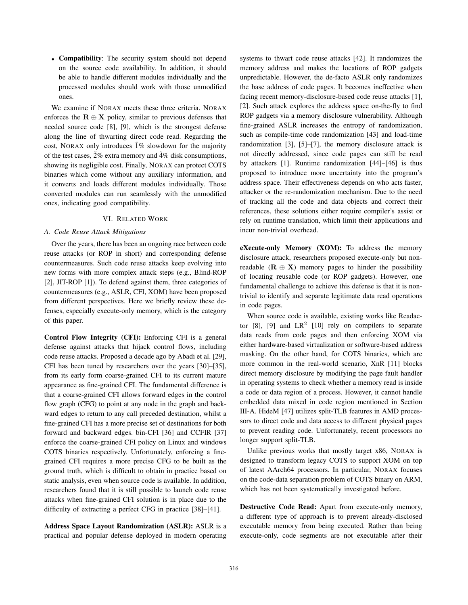• Compatibility: The security system should not depend on the source code availability. In addition, it should be able to handle different modules individually and the processed modules should work with those unmodified ones.

We examine if NORAX meets these three criteria. NORAX enforces the  $\mathbf{R} \oplus \mathbf{X}$  policy, similar to previous defenses that needed source code [8], [9], which is the strongest defense along the line of thwarting direct code read. Regarding the cost, NORAX only introduces  $1\%$  slowdown for the majority of the test cases,  $\tilde{2}\%$  extra memory and  $\tilde{4}\%$  disk consumptions, showing its negligible cost. Finally, NORAX can protect COTS binaries which come without any auxiliary information, and it converts and loads different modules individually. Those converted modules can run seamlessly with the unmodified ones, indicating good compatibility.

# VI. RELATED WORK

#### *A. Code Reuse Attack Mitigations*

Over the years, there has been an ongoing race between code reuse attacks (or ROP in short) and corresponding defense countermeasures. Such code reuse attacks keep evolving into new forms with more complex attack steps (e.g., Blind-ROP [2], JIT-ROP [1]). To defend against them, three categories of countermeasures (e.g., ASLR, CFI, XOM) have been proposed from different perspectives. Here we briefly review these defenses, especially execute-only memory, which is the category of this paper.

Control Flow Integrity (CFI): Enforcing CFI is a general defense against attacks that hijack control flows, including code reuse attacks. Proposed a decade ago by Abadi et al. [29], CFI has been tuned by researchers over the years [30]–[35], from its early form coarse-grained CFI to its current mature appearance as fine-grained CFI. The fundamental difference is that a coarse-grained CFI allows forward edges in the control flow graph (CFG) to point at any node in the graph and backward edges to return to any call preceded destination, whilst a fine-grained CFI has a more precise set of destinations for both forward and backward edges. bin-CFI [36] and CCFIR [37] enforce the coarse-grained CFI policy on Linux and windows COTS binaries respectively. Unfortunately, enforcing a finegrained CFI requires a more precise CFG to be built as the ground truth, which is difficult to obtain in practice based on static analysis, even when source code is available. In addition, researchers found that it is still possible to launch code reuse attacks when fine-grained CFI solution is in place due to the difficulty of extracting a perfect CFG in practice [38]–[41].

Address Space Layout Randomization (ASLR): ASLR is a practical and popular defense deployed in modern operating systems to thwart code reuse attacks [42]. It randomizes the memory address and makes the locations of ROP gadgets unpredictable. However, the de-facto ASLR only randomizes the base address of code pages. It becomes ineffective when facing recent memory-disclosure-based code reuse attacks [1], [2]. Such attack explores the address space on-the-fly to find ROP gadgets via a memory disclosure vulnerability. Although fine-grained ASLR increases the entropy of randomization, such as compile-time code randomization [43] and load-time randomization [3], [5]–[7], the memory disclosure attack is not directly addressed, since code pages can still be read by attackers [1]. Runtime randomization [44]–[46] is thus proposed to introduce more uncertainty into the program's address space. Their effectiveness depends on who acts faster, attacker or the re-randomization mechanism. Due to the need of tracking all the code and data objects and correct their references, these solutions either require compiler's assist or rely on runtime translation, which limit their applications and incur non-trivial overhead.

eXecute-only Memory (XOM): To address the memory disclosure attack, researchers proposed execute-only but nonreadable  $(\mathbf{R} \oplus \mathbf{X})$  memory pages to hinder the possibility of locating reusable code (or ROP gadgets). However, one fundamental challenge to achieve this defense is that it is nontrivial to identify and separate legitimate data read operations in code pages.

When source code is available, existing works like Readactor  $[8]$ ,  $[9]$  and  $LR^2$   $[10]$  rely on compilers to separate data reads from code pages and then enforcing XOM via either hardware-based virtualization or software-based address masking. On the other hand, for COTS binaries, which are more common in the real-world scenario, XnR [11] blocks direct memory disclosure by modifying the page fault handler in operating systems to check whether a memory read is inside a code or data region of a process. However, it cannot handle embedded data mixed in code region mentioned in Section III-A. HideM [47] utilizes split-TLB features in AMD processors to direct code and data access to different physical pages to prevent reading code. Unfortunately, recent processors no longer support split-TLB.

Unlike previous works that mostly target x86, NORAX is designed to transform legacy COTS to support XOM on top of latest AArch64 processors. In particular, NORAX focuses on the code-data separation problem of COTS binary on ARM, which has not been systematically investigated before.

Destructive Code Read: Apart from execute-only memory, a different type of approach is to prevent already-disclosed executable memory from being executed. Rather than being execute-only, code segments are not executable after their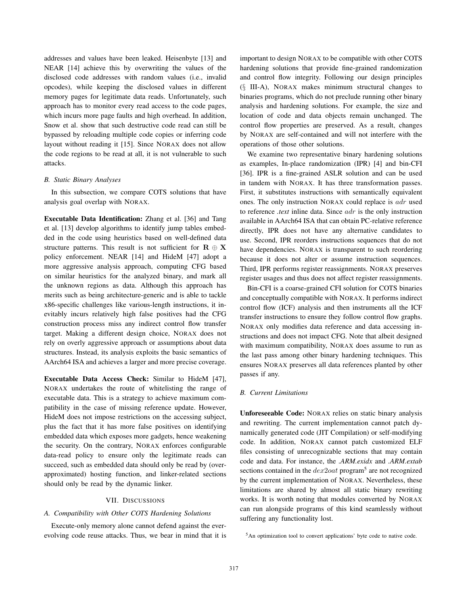addresses and values have been leaked. Heisenbyte [13] and NEAR [14] achieve this by overwriting the values of the disclosed code addresses with random values (i.e., invalid opcodes), while keeping the disclosed values in different memory pages for legitimate data reads. Unfortunately, such approach has to monitor every read access to the code pages, which incurs more page faults and high overhead. In addition, Snow et al. show that such destructive code read can still be bypassed by reloading multiple code copies or inferring code layout without reading it [15]. Since NORAX does not allow the code regions to be read at all, it is not vulnerable to such attacks.

#### *B. Static Binary Analyses*

In this subsection, we compare COTS solutions that have analysis goal overlap with NORAX.

Executable Data Identification: Zhang et al. [36] and Tang et al. [13] develop algorithms to identify jump tables embedded in the code using heuristics based on well-defined data structure patterns. This result is not sufficient for  $\mathbf{R} \oplus \mathbf{X}$ policy enforcement. NEAR [14] and HideM [47] adopt a more aggressive analysis approach, computing CFG based on similar heuristics for the analyzed binary, and mark all the unknown regions as data. Although this approach has merits such as being architecture-generic and is able to tackle x86-specific challenges like various-length instructions, it inevitably incurs relatively high false positives had the CFG construction process miss any indirect control flow transfer target. Making a different design choice, NORAX does not rely on overly aggressive approach or assumptions about data structures. Instead, its analysis exploits the basic semantics of AArch64 ISA and achieves a larger and more precise coverage.

Executable Data Access Check: Similar to HideM [47], NORAX undertakes the route of whitelisting the range of executable data. This is a strategy to achieve maximum compatibility in the case of missing reference update. However, HideM does not impose restrictions on the accessing subject, plus the fact that it has more false positives on identifying embedded data which exposes more gadgets, hence weakening the security. On the contrary, NORAX enforces configurable data-read policy to ensure only the legitimate reads can succeed, such as embedded data should only be read by (overapproximated) hosting function, and linker-related sections should only be read by the dynamic linker.

## VII. DISCUSSIONS

# *A. Compatibility with Other COTS Hardening Solutions*

Execute-only memory alone cannot defend against the everevolving code reuse attacks. Thus, we bear in mind that it is important to design NORAX to be compatible with other COTS hardening solutions that provide fine-grained randomization and control flow integrity. Following our design principles (§ III-A), NORAX makes minimum structural changes to binaries programs, which do not preclude running other binary analysis and hardening solutions. For example, the size and location of code and data objects remain unchanged. The control flow properties are preserved. As a result, changes by NORAX are self-contained and will not interfere with the operations of those other solutions.

We examine two representative binary hardening solutions as examples, In-place randomization (IPR) [4] and bin-CFI [36]. IPR is a fine-grained ASLR solution and can be used in tandem with NORAX. It has three transformation passes. First, it substitutes instructions with semantically equivalent ones. The only instruction NORAX could replace is adr used to reference *.text* inline data. Since adr is the only instruction available in AArch64 ISA that can obtain PC-relative reference directly, IPR does not have any alternative candidates to use. Second, IPR reorders instructions sequences that do not have dependencies. NORAX is transparent to such reordering because it does not alter or assume instruction sequences. Third, IPR performs register reassignments. NORAX preserves register usages and thus does not affect register reassignments.

Bin-CFI is a coarse-grained CFI solution for COTS binaries and conceptually compatible with NORAX. It performs indirect control flow (ICF) analysis and then instruments all the ICF transfer instructions to ensure they follow control flow graphs. NORAX only modifies data reference and data accessing instructions and does not impact CFG. Note that albeit designed with maximum compatibility, NORAX does assume to run as the last pass among other binary hardening techniques. This ensures NORAX preserves all data references planted by other passes if any.

#### *B. Current Limitations*

Unforeseeable Code: NORAX relies on static binary analysis and rewriting. The current implementation cannot patch dynamically generated code (JIT Compilation) or self-modifying code. In addition, NORAX cannot patch customized ELF files consisting of unrecognizable sections that may contain code and data. For instance, the *.ARM.exidx* and *.ARM.extab* sections contained in the  $dex2oat$  program<sup>5</sup> are not recognized by the current implementation of NORAX. Nevertheless, these limitations are shared by almost all static binary rewriting works. It is worth noting that modules converted by NORAX can run alongside programs of this kind seamlessly without suffering any functionality lost.

<sup>5</sup>An optimization tool to convert applications' byte code to native code.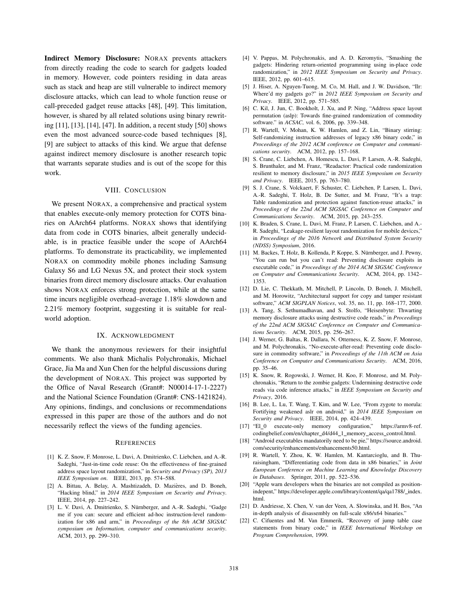Indirect Memory Disclosure: NORAX prevents attackers from directly reading the code to search for gadgets loaded in memory. However, code pointers residing in data areas such as stack and heap are still vulnerable to indirect memory disclosure attacks, which can lead to whole function reuse or call-preceded gadget reuse attacks [48], [49]. This limitation, however, is shared by all related solutions using binary rewriting [11], [13], [14], [47]. In addition, a recent study [50] shows even the most advanced source-code based techniques [8], [9] are subject to attacks of this kind. We argue that defense against indirect memory disclosure is another research topic that warrants separate studies and is out of the scope for this work.

#### VIII. CONCLUSION

We present NORAX, a comprehensive and practical system that enables execute-only memory protection for COTS binaries on AArch64 platforms. NORAX shows that identifying data from code in COTS binaries, albeit generally undecidable, is in practice feasible under the scope of AArch64 platforms. To demonstrate its practicability, we implemented NORAX on commodity mobile phones including Samsung Galaxy S6 and LG Nexus 5X, and protect their stock system binaries from direct memory disclosure attacks. Our evaluation shows NORAX enforces strong protection, while at the same time incurs negligible overhead–average 1.18% slowdown and 2.21% memory footprint, suggesting it is suitable for realworld adoption.

#### IX. ACKNOWLEDGMENT

We thank the anonymous reviewers for their insightful comments. We also thank Michalis Polychronakis, Michael Grace, Jia Ma and Xun Chen for the helpful discussions during the development of NORAX. This project was supported by the Office of Naval Research (Grant#: N00014-17-1-2227) and the National Science Foundation (Grant#: CNS-1421824). Any opinions, findings, and conclusions or recommendations expressed in this paper are those of the authors and do not necessarily reflect the views of the funding agencies.

#### **REFERENCES**

- [1] K. Z. Snow, F. Monrose, L. Davi, A. Dmitrienko, C. Liebchen, and A.-R. Sadeghi, "Just-in-time code reuse: On the effectiveness of fine-grained address space layout randomization," in *Security and Privacy (SP), 2013 IEEE Symposium on*. IEEE, 2013, pp. 574–588.
- [2] A. Bittau, A. Belay, A. Mashtizadeh, D. Mazières, and D. Boneh, "Hacking blind," in *2014 IEEE Symposium on Security and Privacy*. IEEE, 2014, pp. 227–242.
- [3] L. V. Davi, A. Dmitrienko, S. Nürnberger, and A.-R. Sadeghi, "Gadge me if you can: secure and efficient ad-hoc instruction-level randomization for x86 and arm," in *Proceedings of the 8th ACM SIGSAC symposium on Information, computer and communications security*. ACM, 2013, pp. 299–310.
- [4] V. Pappas, M. Polychronakis, and A. D. Keromytis, "Smashing the gadgets: Hindering return-oriented programming using in-place code randomization," in *2012 IEEE Symposium on Security and Privacy*. IEEE, 2012, pp. 601–615.
- [5] J. Hiser, A. Nguyen-Tuong, M. Co, M. Hall, and J. W. Davidson, "Ilr: Where'd my gadgets go?" in *2012 IEEE Symposium on Security and Privacy*. IEEE, 2012, pp. 571–585.
- [6] C. Kil, J. Jun, C. Bookholt, J. Xu, and P. Ning, "Address space layout permutation (aslp): Towards fine-grained randomization of commodity software." in *ACSAC*, vol. 6, 2006, pp. 339–348.
- [7] R. Wartell, V. Mohan, K. W. Hamlen, and Z. Lin, "Binary stirring: Self-randomizing instruction addresses of legacy x86 binary code," in *Proceedings of the 2012 ACM conference on Computer and communications security*. ACM, 2012, pp. 157–168.
- [8] S. Crane, C. Liebchen, A. Homescu, L. Davi, P. Larsen, A.-R. Sadeghi, S. Brunthaler, and M. Franz, "Readactor: Practical code randomization resilient to memory disclosure," in *2015 IEEE Symposium on Security and Privacy*. IEEE, 2015, pp. 763–780.
- [9] S. J. Crane, S. Volckaert, F. Schuster, C. Liebchen, P. Larsen, L. Davi, A.-R. Sadeghi, T. Holz, B. De Sutter, and M. Franz, "It's a trap: Table randomization and protection against function-reuse attacks," in *Proceedings of the 22nd ACM SIGSAC Conference on Computer and Communications Security*. ACM, 2015, pp. 243–255.
- [10] K. Braden, S. Crane, L. Davi, M. Franz, P. Larsen, C. Liebchen, and A.-R. Sadeghi, "Leakage-resilient layout randomization for mobile devices," in *Proceedings of the 2016 Network and Distributed System Security (NDSS) Symposium*, 2016.
- [11] M. Backes, T. Holz, B. Kollenda, P. Koppe, S. Nürnberger, and J. Pewny, "You can run but you can't read: Preventing disclosure exploits in executable code," in *Proceedings of the 2014 ACM SIGSAC Conference on Computer and Communications Security*. ACM, 2014, pp. 1342– 1353.
- [12] D. Lie, C. Thekkath, M. Mitchell, P. Lincoln, D. Boneh, J. Mitchell, and M. Horowitz, "Architectural support for copy and tamper resistant software," *ACM SIGPLAN Notices*, vol. 35, no. 11, pp. 168–177, 2000.
- [13] A. Tang, S. Sethumadhavan, and S. Stolfo, "Heisenbyte: Thwarting memory disclosure attacks using destructive code reads," in *Proceedings of the 22nd ACM SIGSAC Conference on Computer and Communications Security*. ACM, 2015, pp. 256–267.
- [14] J. Werner, G. Baltas, R. Dallara, N. Otterness, K. Z. Snow, F. Monrose, and M. Polychronakis, "No-execute-after-read: Preventing code disclosure in commodity software," in *Proceedings of the 11th ACM on Asia Conference on Computer and Communications Security*. ACM, 2016, pp. 35–46.
- [15] K. Snow, R. Rogowski, J. Werner, H. Koo, F. Monrose, and M. Polychronakis, "Return to the zombie gadgets: Undermining destructive code reads via code inference attacks," in *IEEE Symposium on Security and Privacy*, 2016.
- [16] B. Lee, L. Lu, T. Wang, T. Kim, and W. Lee, "From zygote to morula: Fortifying weakened aslr on android," in *2014 IEEE Symposium on Security and Privacy*. IEEE, 2014, pp. 424–439.
- [17] "El 0 execute-only memory configuration," https://armv8-ref. codingbelief.com/en/chapter\_d4/d44\_1\_memory\_access\_control.html.
- [18] "Android executables mandatorily need to be pie," https://source.android. com/security/enhancements/enhancements50.html.
- [19] R. Wartell, Y. Zhou, K. W. Hamlen, M. Kantarcioglu, and B. Thuraisingham, "Differentiating code from data in x86 binaries," in *Joint European Conference on Machine Learning and Knowledge Discovery in Databases*. Springer, 2011, pp. 522–536.
- [20] "Apple warn developers when the binaries are not compiled as positionindepent," https://developer.apple.com/library/content/qa/qa1788/\_index. html.
- [21] D. Andriesse, X. Chen, V. van der Veen, A. Slowinska, and H. Bos, "An in-depth analysis of disassembly on full-scale x86/x64 binaries."
- [22] C. Cifuentes and M. Van Emmerik, "Recovery of jump table case statements from binary code," in *IEEE International Workshop on Program Comprehension*, 1999.